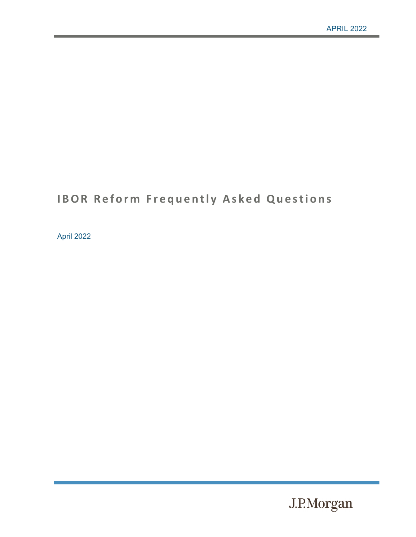# **IBOR Reform Frequently Asked Questions**

April 2022

J.P.Morgan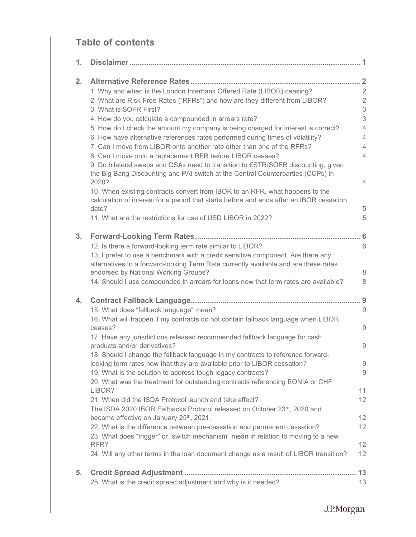# **Table of contents**

| 1. |                                                                                                                                                                                   |                |
|----|-----------------------------------------------------------------------------------------------------------------------------------------------------------------------------------|----------------|
| 2. |                                                                                                                                                                                   |                |
|    | 1. Why and when is the London Interbank Offered Rate (LIBOR) ceasing?                                                                                                             | $\overline{2}$ |
|    | 2. What are Risk Free Rates ("RFRs") and how are they different from LIBOR?                                                                                                       | $\sqrt{2}$     |
|    | 3. What is SOFR First?                                                                                                                                                            | 3              |
|    | 4. How do you calculate a compounded in arrears rate?                                                                                                                             | 3              |
|    | 5. How do I check the amount my company is being charged for interest is correct?                                                                                                 | $\overline{4}$ |
|    | 6. How have alternative references rates performed during times of volatility?                                                                                                    | $\overline{4}$ |
|    | 7. Can I move from LIBOR onto another rate other than one of the RFRs?                                                                                                            | 4              |
|    | 8. Can I move onto a replacement RFR before LIBOR ceases?                                                                                                                         | $\overline{4}$ |
|    | 9. Do bilateral swaps and CSAs need to transition to €STR/SOFR discounting, given<br>the Big Bang Discounting and PAI switch at the Central Counterparties (CCPs) in              |                |
|    | 2020?                                                                                                                                                                             | $\overline{4}$ |
|    | 10. When existing contracts convert from IBOR to an RFR, what happens to the<br>calculation of interest for a period that starts before and ends after an IBOR cessation<br>date? | 5              |
|    | 11. What are the restrictions for use of USD LIBOR in 2022?                                                                                                                       | 5              |
| 3. |                                                                                                                                                                                   | . 6            |
|    | 12. Is there a forward-looking term rate similar to LIBOR?                                                                                                                        | 6              |
|    | 13. I prefer to use a benchmark with a credit sensitive component. Are there any<br>alternatives to a forward-looking Term Rate currently available and are these rates           |                |
|    | endorsed by National Working Groups?                                                                                                                                              | $\,8\,$        |
|    | 14. Should I use compounded in arrears for loans now that term rates are available?                                                                                               | 8              |
| 4. |                                                                                                                                                                                   | 9              |
|    | 15. What does "fallback language" mean?                                                                                                                                           | 9              |
|    | 16. What will happen if my contracts do not contain fallback language when LIBOR<br>ceases?                                                                                       | 9              |
|    | 17. Have any jurisdictions released recommended fallback language for cash                                                                                                        |                |
|    | products and/or derivatives?                                                                                                                                                      | $\hbox{9}$     |
|    | 18. Should I change the fallback language in my contracts to reference forward-                                                                                                   |                |
|    | looking term rates now that they are available prior to LIBOR cessation?                                                                                                          | 9              |
|    | 19. What is the solution to address tough legacy contracts?                                                                                                                       | 9              |
|    | 20. What was the treatment for outstanding contracts referencing EONIA or CHF                                                                                                     |                |
|    | LIBOR?                                                                                                                                                                            | 11             |
|    | 21. When did the ISDA Protocol launch and take effect?                                                                                                                            | 12             |
|    | The ISDA 2020 IBOR Fallbacks Protocol released on October 23rd, 2020 and                                                                                                          |                |
|    | became effective on January 25 <sup>th</sup> , 2021.                                                                                                                              | 12             |
|    | 22. What is the difference between pre-cessation and permanent cessation?                                                                                                         | 12             |
|    | 23. What does "trigger" or "switch mechanism" mean in relation to moving to a new<br>RFR?                                                                                         | 12             |
|    |                                                                                                                                                                                   | 12             |
|    | 24. Will any other terms in the loan document change as a result of LIBOR transition?                                                                                             |                |
| 5. |                                                                                                                                                                                   | 13             |
|    | 25. What is the credit spread adjustment and why is it needed?                                                                                                                    | 13             |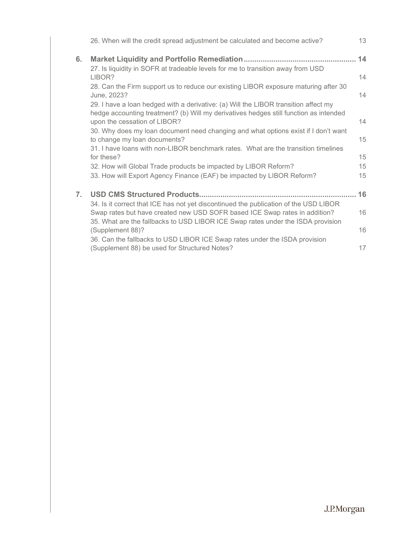|    | 26. When will the credit spread adjustment be calculated and become active?                                                                                                  | 13 |
|----|------------------------------------------------------------------------------------------------------------------------------------------------------------------------------|----|
| 6. |                                                                                                                                                                              | 14 |
|    | 27. Is liquidity in SOFR at tradeable levels for me to transition away from USD                                                                                              |    |
|    | LIBOR?                                                                                                                                                                       | 14 |
|    | 28. Can the Firm support us to reduce our existing LIBOR exposure maturing after 30<br>June, 2023?                                                                           | 14 |
|    | 29. I have a loan hedged with a derivative: (a) Will the LIBOR transition affect my<br>hedge accounting treatment? (b) Will my derivatives hedges still function as intended |    |
|    | upon the cessation of LIBOR?                                                                                                                                                 | 14 |
|    | 30. Why does my loan document need changing and what options exist if I don't want                                                                                           |    |
|    | to change my loan documents?                                                                                                                                                 | 15 |
|    | 31. I have loans with non-LIBOR benchmark rates. What are the transition timelines                                                                                           |    |
|    | for these?                                                                                                                                                                   | 15 |
|    | 32. How will Global Trade products be impacted by LIBOR Reform?                                                                                                              | 15 |
|    | 33. How will Export Agency Finance (EAF) be impacted by LIBOR Reform?                                                                                                        | 15 |
| 7. |                                                                                                                                                                              | 16 |
|    | 34. Is it correct that ICE has not yet discontinued the publication of the USD LIBOR                                                                                         |    |
|    | Swap rates but have created new USD SOFR based ICE Swap rates in addition?                                                                                                   | 16 |
|    | 35. What are the fallbacks to USD LIBOR ICE Swap rates under the ISDA provision                                                                                              |    |
|    | (Supplement 88)?                                                                                                                                                             | 16 |
|    | 36. Can the fallbacks to USD LIBOR ICE Swap rates under the ISDA provision                                                                                                   |    |
|    | (Supplement 88) be used for Structured Notes?                                                                                                                                | 17 |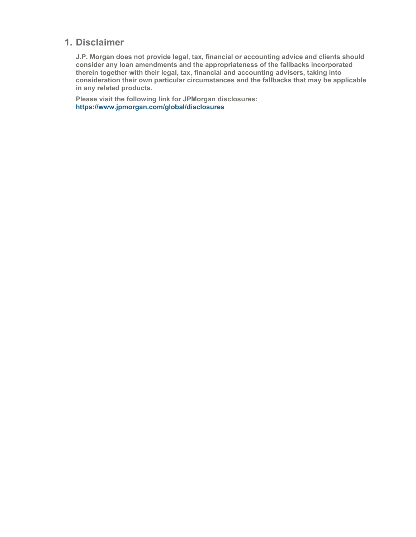# <span id="page-3-0"></span>**1. Disclaimer**

**J.P. Morgan does not provide legal, tax, financial or accounting advice and clients should consider any loan amendments and the appropriateness of the fallbacks incorporated therein together with their legal, tax, financial and accounting advisers, taking into consideration their own particular circumstances and the fallbacks that may be applicable in any related products.** 

**Please visit the following link for JPMorgan disclosures: https://www.jpmorgan.com/global/disclosures**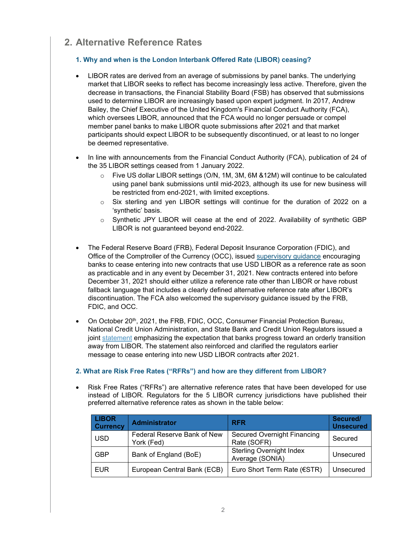# <span id="page-4-0"></span>**2. Alternative Reference Rates**

# <span id="page-4-1"></span>**1. Why and when is the London Interbank Offered Rate (LIBOR) ceasing?**

- LIBOR rates are derived from an average of submissions by panel banks. The underlying market that LIBOR seeks to reflect has become increasingly less active. Therefore, given the decrease in transactions, the Financial Stability Board (FSB) has observed that submissions used to determine LIBOR are increasingly based upon expert judgment. In 2017, Andrew Bailey, the Chief Executive of the United Kingdom's Financial Conduct Authority (FCA), which oversees LIBOR, announced that the FCA would no longer persuade or compel member panel banks to make LIBOR quote submissions after 2021 and that market participants should expect LIBOR to be subsequently discontinued, or at least to no longer be deemed representative.
- In line with announcements from the Financial Conduct Authority (FCA), publication of 24 of the 35 LIBOR settings ceased from 1 January 2022.
	- $\circ$  Five US dollar LIBOR settings (O/N, 1M, 3M, 6M &12M) will continue to be calculated using panel bank submissions until mid-2023, although its use for new business will be restricted from end-2021, with limited exceptions.
	- o Six sterling and yen LIBOR settings will continue for the duration of 2022 on a 'synthetic' basis.
	- Synthetic JPY LIBOR will cease at the end of 2022. Availability of synthetic GBP LIBOR is not guaranteed beyond end-2022.
- The Federal Reserve Board (FRB), Federal Deposit Insurance Corporation (FDIC), and Office of the Comptroller of the Currency (OCC), issued [supervisory guidance](https://www.federalreserve.gov/newsevents/pressreleases/bcreg20201130a.htm) encouraging banks to cease entering into new contracts that use USD LIBOR as a reference rate as soon as practicable and in any event by December 31, 2021. New contracts entered into before December 31, 2021 should either utilize a reference rate other than LIBOR or have robust fallback language that includes a clearly defined alternative reference rate after LIBOR's discontinuation. The FCA also welcomed the supervisory guidance issued by the FRB, FDIC, and OCC.
- On October 20<sup>th</sup>, 2021, the FRB, FDIC, OCC, Consumer Financial Protection Bureau, National Credit Union Administration, and State Bank and Credit Union Regulators issued a joint [statement](https://www.federalreserve.gov/supervisionreg/srletters/SR2117a1.pdf) emphasizing the expectation that banks progress toward an orderly transition away from LIBOR. The statement also reinforced and clarified the regulators earlier message to cease entering into new USD LIBOR contracts after 2021.

# <span id="page-4-2"></span>**2. What are Risk Free Rates ("RFRs") and how are they different from LIBOR?**

• Risk Free Rates ("RFRs") are alternative reference rates that have been developed for use instead of LIBOR. Regulators for the 5 LIBOR currency jurisdictions have published their preferred alternative reference rates as shown in the table below:

| <b>LIBOR</b><br><b>Currency</b> | <b>Administrator</b>                      | <b>RFR</b>                                         | Secured/<br><b>Unsecured</b> |
|---------------------------------|-------------------------------------------|----------------------------------------------------|------------------------------|
| <b>USD</b>                      | Federal Reserve Bank of New<br>York (Fed) | <b>Secured Overnight Financing</b><br>Rate (SOFR)  | Secured                      |
| <b>GBP</b>                      | Bank of England (BoE)                     | <b>Sterling Overnight Index</b><br>Average (SONIA) | Unsecured                    |
| <b>EUR</b>                      | European Central Bank (ECB)               | Euro Short Term Rate (€STR)                        | Unsecured                    |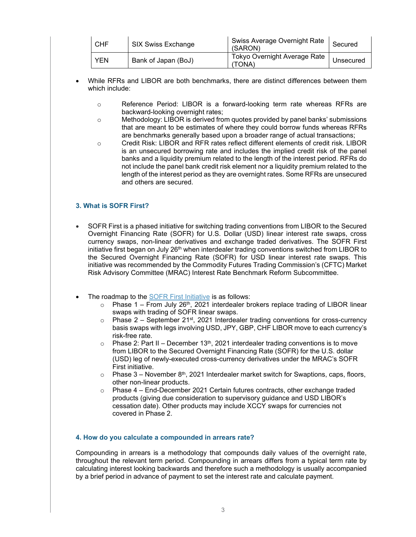| l CHF      | SIX Swiss Exchange  | Swiss Average Overnight Rate  <br>(SARON) | Secured   |
|------------|---------------------|-------------------------------------------|-----------|
| <b>YEN</b> | Bank of Japan (BoJ) | Tokyo Overnight Average Rate<br>(TONA)    | Unsecured |

- While RFRs and LIBOR are both benchmarks, there are distinct differences between them which include:
	- o Reference Period: LIBOR is a forward-looking term rate whereas RFRs are backward-looking overnight rates;
	- $\circ$  Methodology: LIBOR is derived from quotes provided by panel banks' submissions that are meant to be estimates of where they could borrow funds whereas RFRs are benchmarks generally based upon a broader range of actual transactions;
	- o Credit Risk: LIBOR and RFR rates reflect different elements of credit risk. LIBOR is an unsecured borrowing rate and includes the implied credit risk of the panel banks and a liquidity premium related to the length of the interest period. RFRs do not include the panel bank credit risk element nor a liquidity premium related to the length of the interest period as they are overnight rates. Some RFRs are unsecured and others are secured.

# <span id="page-5-0"></span>**3. What is SOFR First?**

- SOFR First is a phased initiative for switching trading conventions from LIBOR to the Secured Overnight Financing Rate (SOFR) for U.S. Dollar (USD) linear interest rate swaps, cross currency swaps, non-linear derivatives and exchange traded derivatives. The SOFR First [initiative](https://www.cftc.gov/PressRoom/PressReleases/8394-21) first began on July 26<sup>th</sup> when interdealer trading conventions switched from LIBOR to the Secured Overnight Financing Rate (SOFR) for USD linear interest rate swaps. This initiative was recommended by the Commodity Futures Trading Commission's (CFTC) Market Risk Advisory Committee (MRAC) Interest Rate Benchmark Reform Subcommittee.
- The roadmap to the [SOFR First Initiative](https://www.cftc.gov/media/6176/MRAC_SOFRFirstSubcommitteeRecommendation071321/download) is as follows:
	- $\circ$  Phase 1 From July 26<sup>th</sup>, 2021 interdealer brokers replace trading of LIBOR linear swaps with trading of SOFR linear swaps.
	- $\circ$  Phase 2 September 21<sup>st</sup>, 2021 Interdealer trading conventions for cross-currency basis swaps with legs involving USD, JPY, GBP, CHF LIBOR move to each currency's risk-free rate.
	- $\circ$  Phase 2: Part II December 13<sup>th</sup>, 2021 interdealer trading conventions is to move from LIBOR to the Secured Overnight Financing Rate (SOFR) for the U.S. dollar (USD) leg of newly-executed cross-currency derivatives under the MRAC's [SOFR](https://www.cftc.gov/media/6176/MRAC_SOFRFirstSubcommitteeRecommendation071321/download)  [First](https://www.cftc.gov/media/6176/MRAC_SOFRFirstSubcommitteeRecommendation071321/download) initiative.
	- $\circ$  Phase 3 November 8<sup>th</sup>, 2021 Interdealer market switch for Swaptions, caps, floors, other non-linear products.
	- $\circ$  Phase 4 End-December 2021 Certain futures contracts, other exchange traded products (giving due consideration to supervisory guidance and USD LIBOR's cessation date). Other products may include XCCY swaps for currencies not covered in Phase 2.

#### <span id="page-5-1"></span>**4. How do you calculate a compounded in arrears rate?**

Compounding in arrears is a methodology that compounds daily values of the overnight rate, throughout the relevant term period. Compounding in arrears differs from a typical term rate by calculating interest looking backwards and therefore such a methodology is usually accompanied by a brief period in advance of payment to set the interest rate and calculate payment.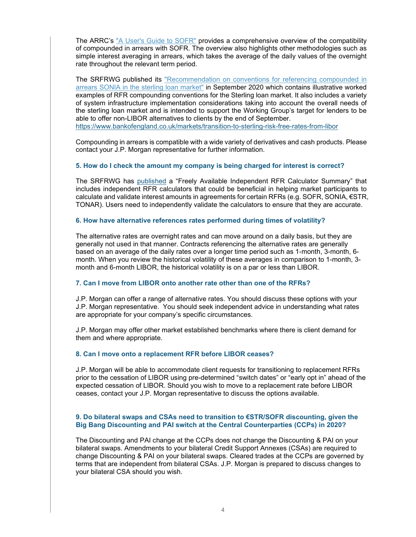The ARRC's ["A User's Guide to SOFR"](https://www.newyorkfed.org/medialibrary/Microsites/arrc/files/2019/Users_Guide_to_SOFR.pdf) provides a comprehensive overview of the compatibility of compounded in arrears with SOFR. The overview also highlights other methodologies such as simple interest averaging in arrears, which takes the average of the daily values of the overnight rate throughout the relevant term period.

The SRFRWG published its ["Recommendation on conventions for referencing compounded in](https://www.bankofengland.co.uk/-/media/boe/files/markets/benchmarks/rfr/statement-on-behalf-of-rfrwg-recommendations-for-sonia-loan-market-conventions.pdf?la=en&hash=074583D7080993CE84B6A381B554BEFD6594C076)  [arrears SONIA in the sterling loan market"](https://www.bankofengland.co.uk/-/media/boe/files/markets/benchmarks/rfr/statement-on-behalf-of-rfrwg-recommendations-for-sonia-loan-market-conventions.pdf?la=en&hash=074583D7080993CE84B6A381B554BEFD6594C076) in September 2020 which contains illustrative worked examples of RFR compounding conventions for the Sterling loan market. It also includes a variety of system infrastructure implementation considerations taking into account the overall needs of the sterling loan market and is intended to support the Working Group's target for lenders to be able to offer non-LIBOR alternatives to clients by the end of September. [https://www.bankofengland.co.uk/markets/transition-to-sterling-risk-free-rates-from-libor](https://secureweb.jpmchase.net/readonly/https:/www.bankofengland.co.uk/markets/transition-to-sterling-risk-free-rates-from-libor)

Compounding in arrears is compatible with a wide variety of derivatives and cash products. Please contact your J.P. Morgan representative for further information.

#### <span id="page-6-0"></span>**5. How do I check the amount my company is being charged for interest is correct?**

The SRFRWG has [published](https://www.bankofengland.co.uk/-/media/boe/files/markets/benchmarks/rfr/rfrwg-freely-available-calculator-summary.pdf?la=en&hash=A31D445ED76D918B0E33E749D11DF2D917BFD4E5) a "Freely Available Independent RFR Calculator Summary" that includes independent RFR calculators that could be beneficial in helping market participants to calculate and validate interest amounts in agreements for certain RFRs (e.g. SOFR, SONIA, €STR, TONAR). Users need to independently validate the calculators to ensure that they are accurate.

#### <span id="page-6-1"></span>**6. How have alternative references rates performed during times of volatility?**

The alternative rates are overnight rates and can move around on a daily basis, but they are generally not used in that manner. Contracts referencing the alternative rates are generally based on an average of the daily rates over a longer time period such as 1-month, 3-month, 6 month. When you review the historical volatility of these averages in comparison to 1-month, 3 month and 6-month LIBOR, the historical volatility is on a par or less than LIBOR.

#### <span id="page-6-2"></span>**7. Can I move from LIBOR onto another rate other than one of the RFRs?**

J.P. Morgan can offer a range of alternative rates. You should discuss these options with your J.P. Morgan representative. You should seek independent advice in understanding what rates are appropriate for your company's specific circumstances.

J.P. Morgan may offer other market established benchmarks where there is client demand for them and where appropriate.

#### <span id="page-6-3"></span>**8. Can I move onto a replacement RFR before LIBOR ceases?**

J.P. Morgan will be able to accommodate client requests for transitioning to replacement RFRs prior to the cessation of LIBOR using pre-determined "switch dates" or "early opt in" ahead of the expected cessation of LIBOR. Should you wish to move to a replacement rate before LIBOR ceases, contact your J.P. Morgan representative to discuss the options available.

#### <span id="page-6-4"></span>**9. Do bilateral swaps and CSAs need to transition to €STR/SOFR discounting, given the Big Bang Discounting and PAI switch at the Central Counterparties (CCPs) in 2020?**

The Discounting and PAI change at the CCPs does not change the Discounting & PAI on your bilateral swaps. Amendments to your bilateral Credit Support Annexes (CSAs) are required to change Discounting & PAI on your bilateral swaps. Cleared trades at the CCPs are governed by terms that are independent from bilateral CSAs. J.P. Morgan is prepared to discuss changes to your bilateral CSA should you wish.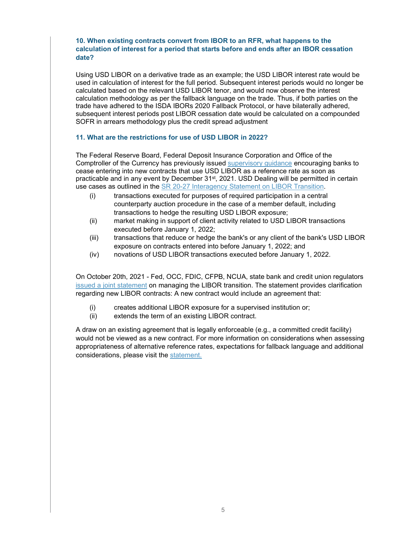# <span id="page-7-0"></span>**10. When existing contracts convert from IBOR to an RFR, what happens to the calculation of interest for a period that starts before and ends after an IBOR cessation date?**

Using USD LIBOR on a derivative trade as an example; the USD LIBOR interest rate would be used in calculation of interest for the full period. Subsequent interest periods would no longer be calculated based on the relevant USD LIBOR tenor, and would now observe the interest calculation methodology as per the fallback language on the trade. Thus, if both parties on the trade have adhered to the ISDA IBORs 2020 Fallback Protocol, or have bilaterally adhered, subsequent interest periods post LIBOR cessation date would be calculated on a compounded SOFR in arrears methodology plus the credit spread adjustment

#### <span id="page-7-1"></span>**11. What are the restrictions for use of USD LIBOR in 2022?**

The Federal Reserve Board, Federal Deposit Insurance Corporation and Office of the Comptroller of the Currency has previously issued [supervisory guidance](https://www.federalreserve.gov/supervisionreg/srletters/SR2027a1.pdf) encouraging banks to cease entering into new contracts that use USD LIBOR as a reference rate as soon as practicable and in any event by December 31<sup>st</sup>, 2021. USD Dealing will be permitted in certain use cases as outlined in the SR [20-27 Interagency Statement on LIBOR Transition.](https://www.federalreserve.gov/supervisionreg/srletters/SR2027a1.pdf)

- (i) transactions executed for purposes of required participation in a central counterparty auction procedure in the case of a member default, including transactions to hedge the resulting USD LIBOR exposure;
- (ii) market making in support of client activity related to USD LIBOR transactions executed before January 1, 2022;
- (iii) transactions that reduce or hedge the bank's or any client of the bank's USD LIBOR exposure on contracts entered into before January 1, 2022; and
- (iv) novations of USD LIBOR transactions executed before January 1, 2022.

On October 20th, 2021 - Fed, OCC, FDIC, CFPB, NCUA, state bank and credit union regulators [issued a joint statement](https://www.federalreserve.gov/supervisionreg/srletters/SR2027a1.pdf) on managing the LIBOR transition. The statement provides clarification regarding new LIBOR contracts: A new contract would include an agreement that:

- (i) creates additional LIBOR exposure for a supervised institution or;
- (ii) extends the term of an existing LIBOR contract.

A draw on an existing agreement that is legally enforceable (e.g., a committed credit facility) would not be viewed as a new contract. For more information on considerations when assessing appropriateness of alternative reference rates, expectations for fallback language and additional considerations, please visit the [statement.](https://files.consumerfinance.gov/f/documents/cfpb_interagency-libor-transition_statement_2021-10.pdf)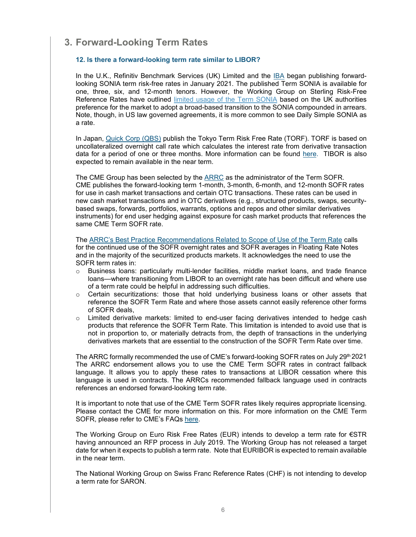# <span id="page-8-0"></span>**3. Forward-Looking Term Rates**

# <span id="page-8-1"></span>**12. Is there a forward-looking term rate similar to LIBOR?**

In the U.K., Refinitiv Benchmark Services (UK) Limited and the [IBA](https://www.theice.com/iba/risk-free-rates) began publishing forwardlooking SONIA term risk-free rates in January 2021. The published Term SONIA is available for one, three, six, and 12-month tenors. However, the Working Group on Sterling Risk-Free Reference Rates have outlined [limited usage of the Term SONIA](https://www.bankofengland.co.uk/-/media/boe/files/markets/benchmarks/rfr/use-cases-of-benchmark-rates-compounded-in-arrears-term-rate-and-further-alternatives.pdf) based on the UK authorities preference for the market to adopt a broad-based transition to the SONIA compounded in arrears. Note, though, in US law governed agreements, it is more common to see Daily Simple SONIA as a rate.

In Japan, [Quick Corp \(QBS\)](https://corporate.quick.co.jp/2021/04/news/press/7926/) publish the Tokyo Term Risk Free Rate (TORF). TORF is based on uncollateralized overnight call rate which calculates the interest rate from derivative transaction data for a period of one or three months. More information can be found [here.](https://corporate.quick.co.jp/en/torf) TIBOR is also expected to remain available in the near term.

The CME Group has been selected by the [ARRC](https://www.newyorkfed.org/medialibrary/Microsites/arrc/files/2021/ARRC_Press_Release_Term_SOFR.pdf) as the administrator of the Term SOFR. CME publishes the forward-looking term 1-month, 3-month, 6-month, and 12-month SOFR rates for use in cash market transactions and certain OTC transactions. These rates can be used in new cash market transactions and in OTC derivatives (e.g., structured products, swaps, securitybased swaps, forwards, portfolios, warrants, options and repos and other similar derivatives instruments) for end user hedging against exposure for cash market products that references the same CME Term SOFR rate.

The [ARRC's Best Practice Recommendations Related to Scope of Use of the Term Rate](https://www.newyorkfed.org/medialibrary/Microsites/arrc/files/2021/ARRC_Scope_of_Use.pdf) calls for the continued use of the SOFR overnight rates and SOFR averages in Floating Rate Notes and in the majority of the securitized products markets. It acknowledges the need to use the SOFR term rates in:

- $\circ$  Business loans: particularly multi-lender facilities, middle market loans, and trade finance loans—where transitioning from LIBOR to an overnight rate has been difficult and where use of a term rate could be helpful in addressing such difficulties.
- $\circ$  Certain securitizations: those that hold underlying business loans or other assets that reference the SOFR Term Rate and where those assets cannot easily reference other forms of SOFR deals,
- o Limited derivative markets: limited to end-user facing derivatives intended to hedge cash products that reference the SOFR Term Rate. This limitation is intended to avoid use that is not in proportion to, or materially detracts from, the depth of transactions in the underlying derivatives markets that are essential to the construction of the SOFR Term Rate over time.

The ARRC formally recommended the use of CME's forward-looking SOFR rates on July 29th 2021 The ARRC endorsement allows you to use the CME Term SOFR rates in contract fallback language. It allows you to apply these rates to transactions at LIBOR cessation where this language is used in contracts. The ARRCs recommended fallback language used in contracts references an endorsed forward-looking term rate.

It is important to note that use of the CME Term SOFR rates likely requires appropriate licensing. Please contact the CME for more information on this. For more information on the CME Term SOFR, please refer to CME's FAQs [here.](https://www.cmegroup.com/market-data/files/cme-term-sofr-reference-rates-faq.pdf)

The Working Group on Euro Risk Free Rates (EUR) intends to develop a term rate for €STR having announced an RFP process in July 2019. The Working Group has not released a target date for when it expects to publish a term rate. Note that EURIBOR is expected to remain available in the near term.

The National Working Group on Swiss Franc Reference Rates (CHF) is not intending to develop a term rate for SARON.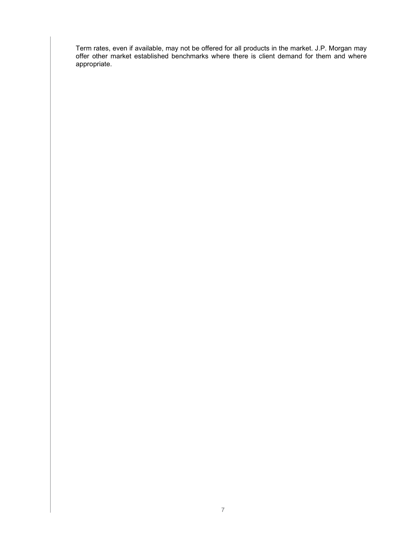Term rates, even if available, may not be offered for all products in the market. J.P. Morgan may offer other market established benchmarks where there is client demand for them and where appropriate.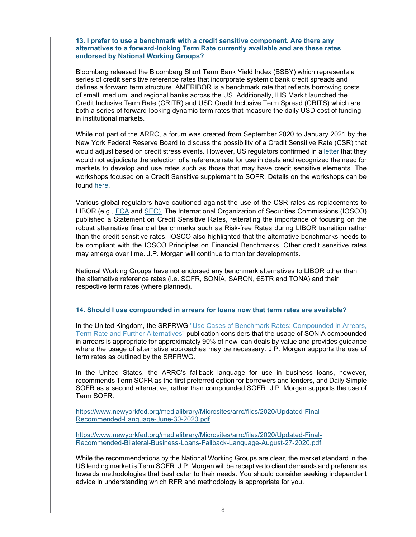#### <span id="page-10-0"></span>**13. I prefer to use a benchmark with a credit sensitive component. Are there any alternatives to a forward-looking Term Rate currently available and are these rates endorsed by National Working Groups?**

Bloomberg released the Bloomberg Short Term Bank Yield Index (BSBY) which represents a series of credit sensitive reference rates that incorporate systemic bank credit spreads and defines a forward term structure. AMERIBOR is a benchmark rate that reflects borrowing costs of small, medium, and regional banks across the US. Additionally, IHS Markit launched the Credit Inclusive Term Rate (CRITR) and USD Credit Inclusive Term Spread (CRITS) which are both a series of forward-looking dynamic term rates that measure the daily USD cost of funding in institutional markets.

While not part of the ARRC, a forum was created from September 2020 to January 2021 by the New York Federal Reserve Board to discuss the possibility of a Credit Sensitive Rate (CSR) that would adjust based on credit stress events. However, US regulators confirmed in a [letter](https://www.newyorkfed.org/medialibrary/Microsites/arrc/files/2020/20201022_CSG_Letter.pdf) that they would not adjudicate the selection of a reference rate for use in deals and recognized the need for markets to develop and use rates such as those that may have credit sensitive elements. The workshops focused on a Credit Sensitive supplement to SOFR. Details on the workshops can be found [here.](https://www.newyorkfed.org/newsevents/events/markets/2020/0225-2020)

Various global regulators have cautioned against the use of the CSR rates as replacements to LIBOR (e.g., [FCA](https://www.fca.org.uk/news/speeches/libor-6-months-to-go) and [SEC\)](https://www.sec.gov/news/public-statement/gensler-fsoc-libor-2021-06-11). The International Organization of Securities Commissions (IOSCO) published a Statement on Credit Sensitive Rates, reiterating the importance of focusing on the robust alternative financial benchmarks such as Risk-free Rates during LIBOR transition rather than the credit sensitive rates. IOSCO also highlighted that the alternative benchmarks needs to be compliant with the IOSCO Principles on Financial Benchmarks. Other credit sensitive rates may emerge over time. J.P. Morgan will continue to monitor developments.

National Working Groups have not endorsed any benchmark alternatives to LIBOR other than the alternative reference rates (i.e. SOFR, SONIA, SARON, €STR and TONA) and their respective term rates (where planned).

#### <span id="page-10-1"></span>**14. Should I use compounded in arrears for loans now that term rates are available?**

In the United Kingdom, the SRFRWG ["Use Cases of Benchmark Rates: Compounded in Arrears,](https://www.bankofengland.co.uk/-/media/boe/files/markets/benchmarks/rfr/use-cases-of-benchmark-rates-compounded-in-arrears-term-rate-and-further-alternatives.pdf)  [Term Rate and Further Alternatives"](https://www.bankofengland.co.uk/-/media/boe/files/markets/benchmarks/rfr/use-cases-of-benchmark-rates-compounded-in-arrears-term-rate-and-further-alternatives.pdf) publication considers that the usage of SONIA compounded in arrears is appropriate for approximately 90% of new loan deals by value and provides guidance where the usage of alternative approaches may be necessary. J.P. Morgan supports the use of term rates as outlined by the SRFRWG.

In the United States, the ARRC's fallback language for use in business loans, however, recommends Term SOFR as the first preferred option for borrowers and lenders, and Daily Simple SOFR as a second alternative, rather than compounded SOFR. J.P. Morgan supports the use of Term SOFR.

[https://www.newyorkfed.org/medialibrary/Microsites/arrc/files/2020/Updated-Final-](https://www.newyorkfed.org/medialibrary/Microsites/arrc/files/2020/Updated-Final-Recommended-Language-June-30-2020.pdf)[Recommended-Language-June-30-2020.pdf](https://www.newyorkfed.org/medialibrary/Microsites/arrc/files/2020/Updated-Final-Recommended-Language-June-30-2020.pdf)

[https://www.newyorkfed.org/medialibrary/Microsites/arrc/files/2020/Updated-Final-](https://www.newyorkfed.org/medialibrary/Microsites/arrc/files/2020/Updated-Final-Recommended-Bilateral-Business-Loans-Fallback-Language-August-27-2020.pdf)[Recommended-Bilateral-Business-Loans-Fallback-Language-August-27-2020.pdf](https://www.newyorkfed.org/medialibrary/Microsites/arrc/files/2020/Updated-Final-Recommended-Bilateral-Business-Loans-Fallback-Language-August-27-2020.pdf)

While the recommendations by the National Working Groups are clear, the market standard in the US lending market is Term SOFR. J.P. Morgan will be receptive to client demands and preferences towards methodologies that best cater to their needs. You should consider seeking independent advice in understanding which RFR and methodology is appropriate for you.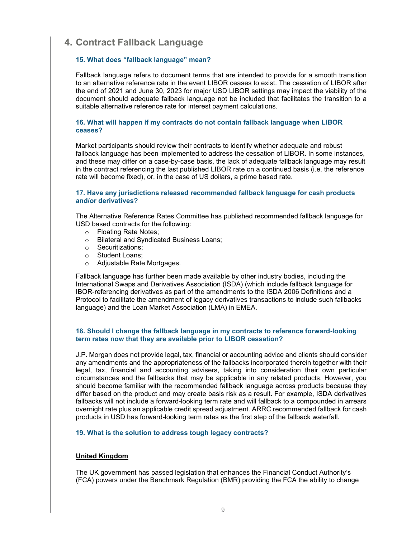# <span id="page-11-0"></span>**4. Contract Fallback Language**

### <span id="page-11-1"></span>**15. What does "fallback language" mean?**

Fallback language refers to document terms that are intended to provide for a smooth transition to an alternative reference rate in the event LIBOR ceases to exist. The cessation of LIBOR after the end of 2021 and June 30, 2023 for major USD LIBOR settings may impact the viability of the document should adequate fallback language not be included that facilitates the transition to a suitable alternative reference rate for interest payment calculations.

### <span id="page-11-2"></span>**16. What will happen if my contracts do not contain fallback language when LIBOR ceases?**

Market participants should review their contracts to identify whether adequate and robust fallback language has been implemented to address the cessation of LIBOR. In some instances, and these may differ on a case-by-case basis, the lack of adequate fallback language may result in the contract referencing the last published LIBOR rate on a continued basis (i.e. the reference rate will become fixed), or, in the case of US dollars, a prime based rate.

### <span id="page-11-3"></span>**17. Have any jurisdictions released recommended fallback language for cash products and/or derivatives?**

The Alternative Reference Rates Committee has published recommended fallback language for USD based contracts for the following:

- Floating Rate Notes;<br>○ Bilateral and Svndica
- **Bilateral and Syndicated Business Loans:**
- o Securitizations;
- o Student Loans;
- o Adjustable Rate Mortgages.

Fallback language has further been made available by other industry bodies, including the International Swaps and Derivatives Association (ISDA) (which include fallback language for IBOR-referencing derivatives as part of the amendments to the ISDA 2006 Definitions and a Protocol to facilitate the amendment of legacy derivatives transactions to include such fallbacks language) and the Loan Market Association (LMA) in EMEA.

#### <span id="page-11-4"></span>**18. Should I change the fallback language in my contracts to reference forward-looking term rates now that they are available prior to LIBOR cessation?**

J.P. Morgan does not provide legal, tax, financial or accounting advice and clients should consider any amendments and the appropriateness of the fallbacks incorporated therein together with their legal, tax, financial and accounting advisers, taking into consideration their own particular circumstances and the fallbacks that may be applicable in any related products. However, you should become familiar with the recommended fallback language across products because they differ based on the product and may create basis risk as a result. For example, ISDA derivatives fallbacks will not include a forward-looking term rate and will fallback to a compounded in arrears overnight rate plus an applicable credit spread adjustment. ARRC recommended fallback for cash products in USD has forward-looking term rates as the first step of the fallback waterfall.

#### <span id="page-11-5"></span>**19. What is the solution to address tough legacy contracts?**

#### **United Kingdom**

The UK government has passed legislation that enhances the Financial Conduct Authority's (FCA) powers under the Benchmark Regulation (BMR) providing the FCA the ability to change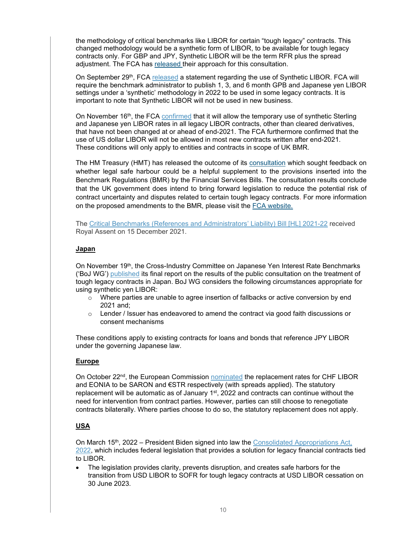the methodology of critical benchmarks like LIBOR for certain "tough legacy" contracts. This changed methodology would be a synthetic form of LIBOR, to be available for tough legacy contracts only. For GBP and JPY, Synthetic LIBOR will be the term RFR plus the spread adjustment. The FCA has [released](https://www.fca.org.uk/publications/consultation-papers/cp21-15-benchmarks-regulation-how-we-propose-use-our-powers-over-use-critical-benchmarks) [t](https://www.fca.org.uk/publications/consultation-papers/cp21-15-benchmarks-regulation-how-we-propose-use-our-powers-over-use-critical-benchmarks)heir approach for this consultation.

On September 29<sup>th</sup>, FCA [released](https://www.fca.org.uk/news/press-releases/further-arrangements-orderly-wind-down-libor-end-2021) a statement regarding the use of Synthetic LIBOR. FCA will require the benchmark administrator to publish 1, 3, and 6 month GPB and Japanese yen LIBOR settings under a 'synthetic' methodology in 2022 to be used in some legacy contracts. It is important to note that Synthetic LIBOR will not be used in new business.

On November 16<sup>th</sup>, the FCA [confirmed](https://www.fca.org.uk/news/press-releases/fca-confirms-rules-legacy-use-synthetic-libor-no-new-use-us-dollar-libor) that it will allow the temporary use of synthetic Sterling and Japanese yen LIBOR rates in all legacy LIBOR contracts, other than cleared derivatives, that have not been changed at or ahead of end-2021. The FCA furthermore confirmed that the use of US dollar LIBOR will not be allowed in most new contracts written after end-2021. These conditions will only apply to entities and contracts in scope of UK BMR.

The HM Treasury (HMT) has released the outcome of its [consultation](https://secureweb.jpmchase.net/readonly/https:/gbr01.safelinks.protection.outlook.com/?url=https%3A%2F%2Fwww.gov.uk%2Fgovernment%2Fconsultations%2Fsupporting-the-wind-down-of-critical-benchmarks&data=04%7C01%7Crosie.davies%40simmons-simmons.com%7C1337846124d3405eddf108d913c118b1%7C9c0035ef4799443f8b14c5d60303e8cd%7C0%7C1%7C637562542415099983%7CUnknown%7CTWFpbGZsb3d8eyJWIjoiMC4wLjAwMDAiLCJQIjoiV2luMzIiLCJBTiI6Ik1haWwiLCJXVCI6Mn0%3D%7C1000&sdata=2CtDq9WOXyh%2BKvExbga1tti2uEjQadheXjWggfnteRA%3D&reserved=0) which sought feedback on whether legal safe harbour could be a helpful supplement to the provisions inserted into the Benchmark Regulations (BMR) by the Financial Services Bills. The consultation results conclude that the UK government does intend to bring forward legislation to reduce the potential risk of contract uncertainty and disputes related to certain tough legacy contracts. For more information on the proposed amendments to the BMR, please visit the [FCA website.](https://www.fca.org.uk/markets/transition-libor/benchmarks-regulation-proposed-new-powers)

The [Critical Benchmarks \(References and Administrators'](https://bills.parliament.uk/bills/3045) Liability) Bill [HL] 2021-22 received Royal Assent on 15 December 2021.

# **Japan**

On November 19<sup>th</sup>, the Cross-Industry Committee on Japanese Yen Interest Rate Benchmarks ('BoJ WG') [published](https://www.boj.or.jp/en/paym/market/jpy_cmte/cmt211119a.pdf) its final report on the results of the public consultation on the treatment of tough legacy contracts in Japan. BoJ WG considers the following circumstances appropriate for using synthetic yen LIBOR:

- $\circ$  Where parties are unable to agree insertion of fallbacks or active conversion by end 2021 and;
- $\circ$  Lender / Issuer has endeavored to amend the contract via good faith discussions or consent mechanisms

These conditions apply to existing contracts for loans and bonds that reference JPY LIBOR under the governing Japanese law.

#### **Europe**

On October 22<sup>nd</sup>, the European Commission **[nominated](https://ec.europa.eu/commission/presscorner/detail/en/mex_21_5429)** the replacement rates for CHF LIBOR and EONIA to be SARON and €STR respectively (with spreads applied). The statutory replacement will be automatic as of January  $1<sup>st</sup>$ , 2022 and contracts can continue without the need for intervention from contract parties. However, parties can still choose to renegotiate contracts bilaterally. Where parties choose to do so, the statutory replacement does not apply.

# **USA**

On March 15th, 2022 – President Biden signed into law the [Consolidated Appropriations Act,](https://secureweb.jpmchase.net/readonly/https:/urldefense.proofpoint.com/v2/url?u=https-3A__lnks.gd_l_eyJhbGciOiJIUzI1NiJ9.eyJidWxsZXRpbl9saW5rX2lkIjoxMDAsInVyaSI6ImJwMjpjbGljayIsImJ1bGxldGluX2lkIjoiMjAyMjAzMTUuNTQ5NjEzNDEiLCJ1cmwiOiJodHRwczovL3J1bGVzLmhvdXNlLmdvdi9zaXRlcy9kZW1vY3JhdHMucnVsZXMuaG91c2UuZ292L2ZpbGVzL0JJTExTLTExN0hSMjQ3MVNBLVJDUC0xMTctMzUucGRmIn0.vHB98G3fyYZWG0UMoidKgTX8E4RzOKeQqFLAICRE3hc_s_726290004_br_128151672099-2Dl&d=DwMFAA&c=euGZstcaTDllvimEN8b7jXrwqOf-v5A_CdpgnVfiiMM&r=4z1WvQrVPIC0Oc6Vx6bTfQ&m=T7WYKc5zjtBX7EMXUDX9pBZr94eM43OjudT7qijvaTY&s=5EThC8U86qcDsHvgm_QKZrQu-u_J_o0pHulRwvJ0lTE&e=)  [2022,](https://secureweb.jpmchase.net/readonly/https:/urldefense.proofpoint.com/v2/url?u=https-3A__lnks.gd_l_eyJhbGciOiJIUzI1NiJ9.eyJidWxsZXRpbl9saW5rX2lkIjoxMDAsInVyaSI6ImJwMjpjbGljayIsImJ1bGxldGluX2lkIjoiMjAyMjAzMTUuNTQ5NjEzNDEiLCJ1cmwiOiJodHRwczovL3J1bGVzLmhvdXNlLmdvdi9zaXRlcy9kZW1vY3JhdHMucnVsZXMuaG91c2UuZ292L2ZpbGVzL0JJTExTLTExN0hSMjQ3MVNBLVJDUC0xMTctMzUucGRmIn0.vHB98G3fyYZWG0UMoidKgTX8E4RzOKeQqFLAICRE3hc_s_726290004_br_128151672099-2Dl&d=DwMFAA&c=euGZstcaTDllvimEN8b7jXrwqOf-v5A_CdpgnVfiiMM&r=4z1WvQrVPIC0Oc6Vx6bTfQ&m=T7WYKc5zjtBX7EMXUDX9pBZr94eM43OjudT7qijvaTY&s=5EThC8U86qcDsHvgm_QKZrQu-u_J_o0pHulRwvJ0lTE&e=) which includes federal legislation that provides a solution for legacy financial contracts tied to LIBOR.

• The legislation provides clarity, prevents disruption, and creates safe harbors for the transition from USD LIBOR to SOFR for tough legacy contracts at USD LIBOR cessation on 30 June 2023.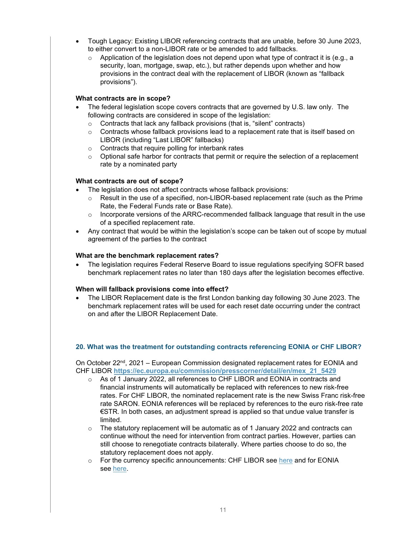- Tough Legacy: Existing LIBOR referencing contracts that are unable, before 30 June 2023, to either convert to a non-LIBOR rate or be amended to add fallbacks.
	- $\circ$  Application of the legislation does not depend upon what type of contract it is (e.g., a security, loan, mortgage, swap, etc.), but rather depends upon whether and how provisions in the contract deal with the replacement of LIBOR (known as "fallback provisions").

# **What contracts are in scope?**

- The federal legislation scope covers contracts that are governed by U.S. law only. The following contracts are considered in scope of the legislation:
	- o Contracts that lack any fallback provisions (that is, "silent" contracts)
	- $\circ$  Contracts whose fallback provisions lead to a replacement rate that is itself based on LIBOR (including "Last LIBOR" fallbacks)
	- o Contracts that require polling for interbank rates
	- o Optional safe harbor for contracts that permit or require the selection of a replacement rate by a nominated party

# **What contracts are out of scope?**

- The legislation does not affect contracts whose fallback provisions:
	- $\circ$  Result in the use of a specified, non-LIBOR-based replacement rate (such as the Prime Rate, the Federal Funds rate or Base Rate).
	- $\circ$  Incorporate versions of the ARRC-recommended fallback language that result in the use of a specified replacement rate.
- Any contract that would be within the legislation's scope can be taken out of scope by mutual agreement of the parties to the contract

#### **What are the benchmark replacement rates?**

• The legislation requires Federal Reserve Board to issue regulations specifying SOFR based benchmark replacement rates no later than 180 days after the legislation becomes effective.

#### **When will fallback provisions come into effect?**

• The LIBOR Replacement date is the first London banking day following 30 June 2023. The benchmark replacement rates will be used for each reset date occurring under the contract on and after the LIBOR Replacement Date.

#### <span id="page-13-0"></span>**20. What was the treatment for outstanding contracts referencing EONIA or CHF LIBOR?**

On October 22nd, 2021 – European Commission designated replacement rates for EONIA and CHF LIBOR **[https://ec.europa.eu/commission/presscorner/detail/en/mex\\_21\\_5429](https://ec.europa.eu/commission/presscorner/detail/en/mex_21_5429)**

- o As of 1 January 2022, all references to CHF LIBOR and EONIA in contracts and financial instruments will automatically be replaced with references to new risk-free rates. For CHF LIBOR, the nominated replacement rate is the new Swiss Franc risk-free rate SARON. EONIA references will be replaced by references to the euro risk-free rate €STR. In both cases, an adjustment spread is applied so that undue value transfer is limited.
- $\circ$  The statutory replacement will be automatic as of 1 January 2022 and contracts can continue without the need for intervention from contract parties. However, parties can still choose to renegotiate contracts bilaterally. Where parties choose to do so, the statutory replacement does not apply.
- o For the currency specific announcements: CHF LIBOR see [here](https://eur-lex.europa.eu/legal-content/EN/TXT/?uri=uriserv:OJ.L_.2021.374.01.0001.01.ENG&toc=OJ:L:2021:374:TOC) and for EONIA see [here.](https://eur-lex.europa.eu/legal-content/EN/TXT/?uri=uriserv:OJ.L_.2021.374.01.0006.01.ENG&toc=OJ:L:2021:374:TOC)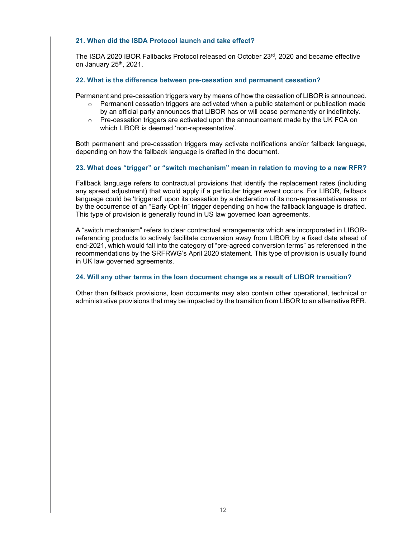#### <span id="page-14-1"></span><span id="page-14-0"></span>**21. When did the ISDA Protocol launch and take effect?**

The ISDA 2020 [IBOR Fallbacks Protocol](https://www.isda.org/protocol/isda-2020-ibor-fallbacks-protocol/) released on October 23rd, 2020 and became effective on January 25<sup>th</sup>, 2021.

### <span id="page-14-2"></span>**22. What is the difference between pre-cessation and permanent cessation?**

Permanent and pre-cessation triggers vary by means of how the cessation of LIBOR is announced.

- $\circ$  Permanent cessation triggers are activated when a public statement or publication made by an official party announces that LIBOR has or will cease permanently or indefinitely.
- Pre-cessation triggers are activated upon the announcement made by the UK FCA on which LIBOR is deemed 'non-representative'.

Both permanent and pre-cessation triggers may activate notifications and/or fallback language, depending on how the fallback language is drafted in the document.

# <span id="page-14-3"></span>**23. What does "trigger" or "switch mechanism" mean in relation to moving to a new RFR?**

Fallback language refers to contractual provisions that identify the replacement rates (including any spread adjustment) that would apply if a particular trigger event occurs. For LIBOR, fallback language could be 'triggered' upon its cessation by a declaration of its non-representativeness, or by the occurrence of an "Early Opt-In" trigger depending on how the fallback language is drafted. This type of provision is generally found in US law governed loan agreements.

A "switch mechanism" refers to clear contractual arrangements which are incorporated in LIBORreferencing products to actively facilitate conversion away from LIBOR by a fixed date ahead of end-2021, which would fall into the category of "pre-agreed conversion terms" as referenced in the recommendations by the SRFRWG's April 2020 statement. This type of provision is usually found in UK law governed agreements.

#### <span id="page-14-4"></span>**24. Will any other terms in the loan document change as a result of LIBOR transition?**

Other than fallback provisions, loan documents may also contain other operational, technical or administrative provisions that may be impacted by the transition from LIBOR to an alternative RFR.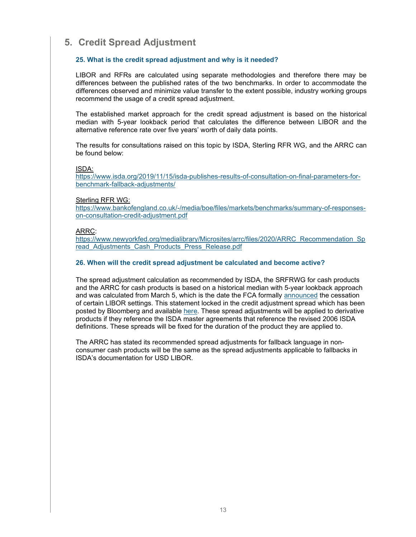# <span id="page-15-0"></span>**5. Credit Spread Adjustment**

# <span id="page-15-1"></span>**25. What is the credit spread adjustment and why is it needed?**

LIBOR and RFRs are calculated using separate methodologies and therefore there may be differences between the published rates of the two benchmarks. In order to accommodate the differences observed and minimize value transfer to the extent possible, industry working groups recommend the usage of a credit spread adjustment.

The established market approach for the credit spread adjustment is based on the historical median with 5-year lookback period that calculates the difference between LIBOR and the alternative reference rate over five years' worth of daily data points.

The results for consultations raised on this topic by ISDA, Sterling RFR WG, and the ARRC can be found below:

#### ISDA:

[https://www.isda.org/2019/11/15/isda-publishes-results-of-consultation-on-final-parameters-for](https://www.isda.org/2019/11/15/isda-publishes-results-of-consultation-on-final-parameters-for-benchmark-fallback-adjustments/)[benchmark-fallback-adjustments/](https://www.isda.org/2019/11/15/isda-publishes-results-of-consultation-on-final-parameters-for-benchmark-fallback-adjustments/)

#### Sterling RFR WG:

[https://www.bankofengland.co.uk/-/media/boe/files/markets/benchmarks/summary-of-responses](https://www.bankofengland.co.uk/-/media/boe/files/markets/benchmarks/summary-of-responses-on-consultation-credit-adjustment.pdf)[on-consultation-credit-adjustment.pdf](https://www.bankofengland.co.uk/-/media/boe/files/markets/benchmarks/summary-of-responses-on-consultation-credit-adjustment.pdf)

#### ARRC:

[https://www.newyorkfed.org/medialibrary/Microsites/arrc/files/2020/ARRC\\_Recommendation\\_Sp](https://www.newyorkfed.org/medialibrary/Microsites/arrc/files/2020/ARRC_Recommendation_Spread_Adjustments_Cash_Products_Press_Release.pdf) read Adjustments Cash Products Press Release.pdf

#### <span id="page-15-2"></span>**26. When will the credit spread adjustment be calculated and become active?**

The spread adjustment calculation as recommended by ISDA, the SRFRWG for cash products and the ARRC for cash products is based on a historical median with 5-year lookback approach and was calculated from March 5, which is the date the FCA formally [announced](https://www.fca.org.uk/publication/documents/future-cessation-loss-representativeness-libor-benchmarks.pdf) the cessation of certain LIBOR settings. This statement locked in the credit adjustment spread which has been posted by Bloomberg and available [here.](https://assets.bbhub.io/professional/sites/10/IBOR-Fallbacks-LIBOR-Cessation_Announcement_20210305.pdf) These spread adjustments will be applied to derivative products if they reference the ISDA master agreements that reference the revised 2006 ISDA definitions. These spreads will be fixed for the duration of the product they are applied to.

The ARRC has stated its recommended spread adjustments for fallback language in nonconsumer cash products will be the same as the spread adjustments applicable to fallbacks in ISDA's documentation for USD LIBOR.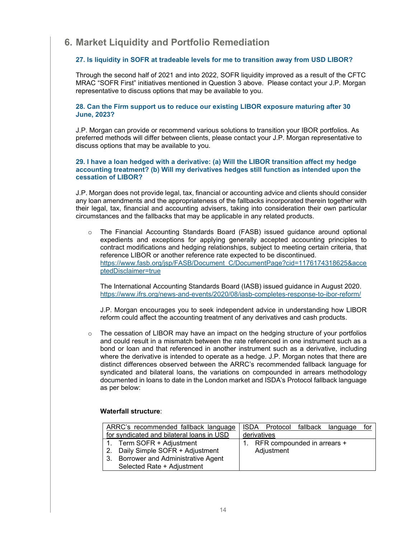# <span id="page-16-0"></span>**6. Market Liquidity and Portfolio Remediation**

# <span id="page-16-1"></span>**27. Is liquidity in SOFR at tradeable levels for me to transition away from USD LIBOR?**

Through the second half of 2021 and into 2022, SOFR liquidity improved as a result of the CFTC MRAC "SOFR First" initiatives mentioned in Question 3 above. Please contact your J.P. Morgan representative to discuss options that may be available to you.

#### <span id="page-16-2"></span>**28. Can the Firm support us to reduce our existing LIBOR exposure maturing after 30 June, 2023?**

J.P. Morgan can provide or recommend various solutions to transition your IBOR portfolios. As preferred methods will differ between clients, please contact your J.P. Morgan representative to discuss options that may be available to you.

#### <span id="page-16-3"></span>**29. I have a loan hedged with a derivative: (a) Will the LIBOR transition affect my hedge accounting treatment? (b) Will my derivatives hedges still function as intended upon the cessation of LIBOR?**

J.P. Morgan does not provide legal, tax, financial or accounting advice and clients should consider any loan amendments and the appropriateness of the fallbacks incorporated therein together with their legal, tax, financial and accounting advisers, taking into consideration their own particular circumstances and the fallbacks that may be applicable in any related products.

The Financial Accounting Standards Board (FASB) issued guidance around optional expedients and exceptions for applying generally accepted accounting principles to contract modifications and hedging relationships, subject to meeting certain criteria, that reference LIBOR or another reference rate expected to be discontinued. [https://www.fasb.org/jsp/FASB/Document\\_C/DocumentPage?cid=1176174318625&acce](https://www.fasb.org/jsp/FASB/Document_C/DocumentPage?cid=1176174318625&acceptedDisclaimer=true) [ptedDisclaimer=true](https://www.fasb.org/jsp/FASB/Document_C/DocumentPage?cid=1176174318625&acceptedDisclaimer=true)

The International Accounting Standards Board (IASB) issued guidance in August 2020. <https://www.ifrs.org/news-and-events/2020/08/iasb-completes-response-to-ibor-reform/>

J.P. Morgan encourages you to seek independent advice in understanding how LIBOR reform could affect the accounting treatment of any derivatives and cash products.

 $\circ$  The cessation of LIBOR may have an impact on the hedging structure of your portfolios and could result in a mismatch between the rate referenced in one instrument such as a bond or loan and that referenced in another instrument such as a derivative, including where the derivative is intended to operate as a hedge. J.P. Morgan notes that there are distinct differences observed between the ARRC's recommended fallback language for syndicated and bilateral loans, the variations on compounded in arrears methodology documented in loans to date in the London market and ISDA's Protocol fallback language as per below:

### **Waterfall structure**:

| ARRC's recommended fallback language<br>for syndicated and bilateral loans in USD                                                    | ISDA Protocol fallback language<br>for<br>derivatives |
|--------------------------------------------------------------------------------------------------------------------------------------|-------------------------------------------------------|
| 1. Term SOFR + Adjustment<br>2. Daily Simple SOFR + Adjustment<br>3. Borrower and Administrative Agent<br>Selected Rate + Adjustment | RFR compounded in arrears +<br>Adjustment             |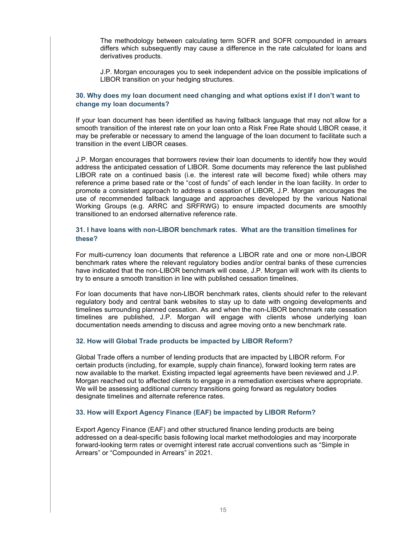The methodology between calculating term SOFR and SOFR compounded in arrears differs which subsequently may cause a difference in the rate calculated for loans and derivatives products.

J.P. Morgan encourages you to seek independent advice on the possible implications of LIBOR transition on your hedging structures.

# <span id="page-17-0"></span>**30. Why does my loan document need changing and what options exist if I don't want to change my loan documents?**

If your loan document has been identified as having fallback language that may not allow for a smooth transition of the interest rate on your loan onto a Risk Free Rate should LIBOR cease, it may be preferable or necessary to amend the language of the loan document to facilitate such a transition in the event LIBOR ceases.

J.P. Morgan encourages that borrowers review their loan documents to identify how they would address the anticipated cessation of LIBOR. Some documents may reference the last published LIBOR rate on a continued basis (i.e. the interest rate will become fixed) while others may reference a prime based rate or the "cost of funds" of each lender in the loan facility. In order to promote a consistent approach to address a cessation of LIBOR, J.P. Morgan encourages the use of recommended fallback language and approaches developed by the various National Working Groups (e.g. ARRC and SRFRWG) to ensure impacted documents are smoothly transitioned to an endorsed alternative reference rate.

# <span id="page-17-1"></span>**31. I have loans with non-LIBOR benchmark rates. What are the transition timelines for these?**

For multi-currency loan documents that reference a LIBOR rate and one or more non-LIBOR benchmark rates where the relevant regulatory bodies and/or central banks of these currencies have indicated that the non-LIBOR benchmark will cease, J.P. Morgan will work with its clients to try to ensure a smooth transition in line with published cessation timelines.

For loan documents that have non-LIBOR benchmark rates, clients should refer to the relevant regulatory body and central bank websites to stay up to date with ongoing developments and timelines surrounding planned cessation. As and when the non-LIBOR benchmark rate cessation timelines are published, J.P. Morgan will engage with clients whose underlying loan documentation needs amending to discuss and agree moving onto a new benchmark rate.

#### <span id="page-17-2"></span>**32. How will Global Trade products be impacted by LIBOR Reform?**

Global Trade offers a number of lending products that are impacted by LIBOR reform. For certain products (including, for example, supply chain finance), forward looking term rates are now available to the market. Existing impacted legal agreements have been reviewed and J.P. Morgan reached out to affected clients to engage in a remediation exercises where appropriate. We will be assessing additional currency transitions going forward as regulatory bodies designate timelines and alternate reference rates.

#### <span id="page-17-3"></span>**33. How will Export Agency Finance (EAF) be impacted by LIBOR Reform?**

Export Agency Finance (EAF) and other structured finance lending products are being addressed on a deal-specific basis following local market methodologies and may incorporate forward-looking term rates or overnight interest rate accrual conventions such as "Simple in Arrears" or "Compounded in Arrears" in 2021.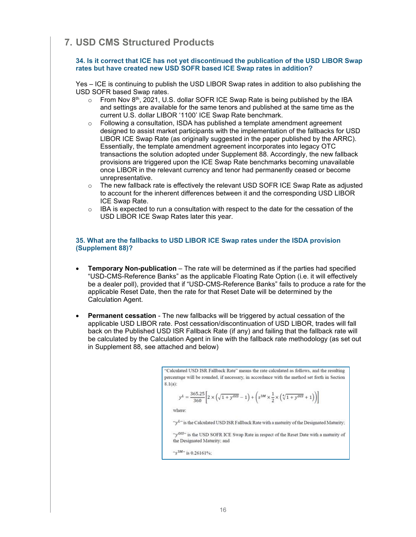# <span id="page-18-0"></span>**7. USD CMS Structured Products**

#### <span id="page-18-1"></span>**34. Is it correct that ICE has not yet discontinued the publication of the USD LIBOR Swap rates but have created new USD SOFR based ICE Swap rates in addition?**

Yes – ICE is continuing to publish the USD LIBOR Swap rates in addition to also publishing the USD SOFR based Swap rates.

- o From Nov 8<sup>th</sup>, 2021, U.S. dollar SOFR ICE Swap Rate is being published by the IBA and settings are available for the same tenors and published at the same time as the current U.S. dollar LIBOR '1100' ICE Swap Rate benchmark.
- Following a consultation, ISDA has published a template amendment agreement designed to assist market participants with the implementation of the fallbacks for USD LIBOR ICE Swap Rate (as originally suggested in the paper published by the ARRC). Essentially, the template amendment agreement incorporates into legacy OTC transactions the solution adopted under Supplement 88. Accordingly, the new fallback provisions are triggered upon the ICE Swap Rate benchmarks becoming unavailable once LIBOR in the relevant currency and tenor had permanently ceased or become unrepresentative.
- $\circ$  The new fallback rate is effectively the relevant USD SOFR ICE Swap Rate as adjusted to account for the inherent differences between it and the corresponding USD LIBOR ICE Swap Rate.
- $\circ$  IBA is expected to run a consultation with respect to the date for the cessation of the USD LIBOR ICE Swap Rates later this year.

#### <span id="page-18-2"></span>**35. What are the fallbacks to USD LIBOR ICE Swap rates under the ISDA provision (Supplement 88)?**

- **Temporary Non-publication** The rate will be determined as if the parties had specified "USD-CMS-Reference Banks" as the applicable Floating Rate Option (i.e. it will effectively be a dealer poll), provided that if "USD-CMS-Reference Banks" fails to produce a rate for the applicable Reset Date, then the rate for that Reset Date will be determined by the Calculation Agent.
- **Permanent cessation** The new fallbacks will be triggered by actual cessation of the applicable USD LIBOR rate. Post cessation/discontinuation of USD LIBOR, trades will fall back on the Published USD ISR Fallback Rate (if any) and failing that the fallback rate will be calculated by the Calculation Agent in line with the fallback rate methodology (as set out in Supplement 88, see attached and below)

"Calculated USD ISR Fallback Rate" means the rate calculated as follows, and the resulting percentage will be rounded, if necessary, in accordance with the method set forth in Section  $8.1(a)$ :

$$
y^L = \frac{365.25}{360} \Bigg[ 2 \times \left( \sqrt{1 + y^{OIS}} - 1 \right) + \left( s^{3M} \times \frac{1}{2} \times \left( \sqrt[4]{1 + y^{OIS}} + \right) \right) \Bigg]
$$

where:

"y<sup>L</sup>" is the Calculated USD ISR Fallback Rate with a maturity of the Designated Maturity;

 $1)$ 

"y<sup>015</sup>" is the USD SOFR ICE Swap Rate in respect of the Reset Date with a maturity of the Designated Maturity; and

" $s^{3M}$ " is 0.26161%;